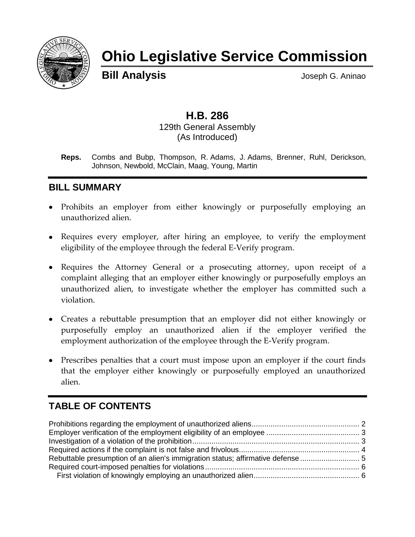

# **Ohio Legislative Service Commission**

**Bill Analysis Bill Analysis Joseph G. Aninao** 

# **H.B. 286**

129th General Assembly (As Introduced)

**Reps.** Combs and Bubp, Thompson, R. Adams, J. Adams, Brenner, Ruhl, Derickson, Johnson, Newbold, McClain, Maag, Young, Martin

## **BILL SUMMARY**

- Prohibits an employer from either knowingly or purposefully employing an unauthorized alien.
- Requires every employer, after hiring an employee, to verify the employment eligibility of the employee through the federal E-Verify program.
- Requires the Attorney General or a prosecuting attorney, upon receipt of a complaint alleging that an employer either knowingly or purposefully employs an unauthorized alien, to investigate whether the employer has committed such a violation.
- Creates a rebuttable presumption that an employer did not either knowingly or purposefully employ an unauthorized alien if the employer verified the employment authorization of the employee through the E-Verify program.
- Prescribes penalties that a court must impose upon an employer if the court finds that the employer either knowingly or purposefully employed an unauthorized alien.

# **TABLE OF CONTENTS**

| Rebuttable presumption of an alien's immigration status; affirmative defense |  |
|------------------------------------------------------------------------------|--|
|                                                                              |  |
|                                                                              |  |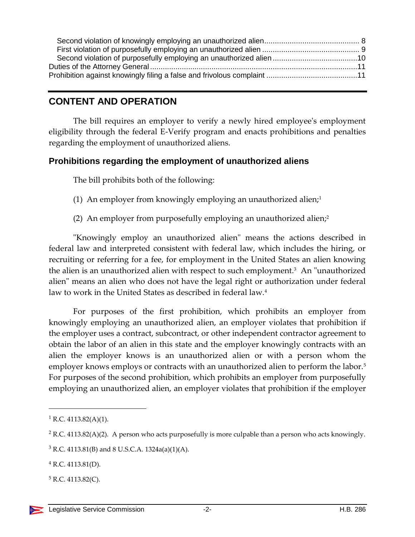### **CONTENT AND OPERATION**

The bill requires an employer to verify a newly hired employee's employment eligibility through the federal E-Verify program and enacts prohibitions and penalties regarding the employment of unauthorized aliens.

#### <span id="page-1-0"></span>**Prohibitions regarding the employment of unauthorized aliens**

The bill prohibits both of the following:

- (1) An employer from knowingly employing an unauthorized alien;<sup>1</sup>
- (2) An employer from purposefully employing an unauthorized alien; $\lambda^2$

"Knowingly employ an unauthorized alien" means the actions described in federal law and interpreted consistent with federal law, which includes the hiring, or recruiting or referring for a fee, for employment in the United States an alien knowing the alien is an unauthorized alien with respect to such employment.<sup>3</sup> An "unauthorized alien" means an alien who does not have the legal right or authorization under federal law to work in the United States as described in federal law.<sup>4</sup>

For purposes of the first prohibition, which prohibits an employer from knowingly employing an unauthorized alien, an employer violates that prohibition if the employer uses a contract, subcontract, or other independent contractor agreement to obtain the labor of an alien in this state and the employer knowingly contracts with an alien the employer knows is an unauthorized alien or with a person whom the employer knows employs or contracts with an unauthorized alien to perform the labor.<sup>5</sup> For purposes of the second prohibition, which prohibits an employer from purposefully employing an unauthorized alien, an employer violates that prohibition if the employer

<sup>&</sup>lt;sup>1</sup> R.C. 4113.82(A)(1).

 $2$  R.C. 4113.82(A)(2). A person who acts purposefully is more culpable than a person who acts knowingly.

 $3$  R.C. 4113.81(B) and 8 U.S.C.A. 1324a(a)(1)(A).

 $4$  R.C. 4113.81(D).

 $5$  R.C. 4113.82(C).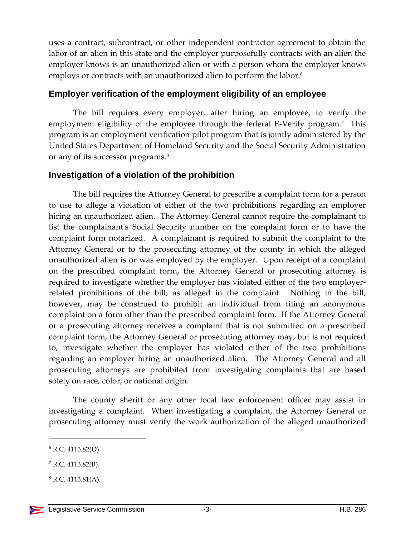uses a contract, subcontract, or other independent contractor agreement to obtain the labor of an alien in this state and the employer purposefully contracts with an alien the employer knows is an unauthorized alien or with a person whom the employer knows employs or contracts with an unauthorized alien to perform the labor.<sup>6</sup>

#### <span id="page-2-0"></span>**Employer verification of the employment eligibility of an employee**

The bill requires every employer, after hiring an employee, to verify the employment eligibility of the employee through the federal E-Verify program.<sup>7</sup> This program is an employment verification pilot program that is jointly administered by the United States Department of Homeland Security and the Social Security Administration or any of its successor programs.<sup>8</sup>

#### <span id="page-2-1"></span>**Investigation of a violation of the prohibition**

The bill requires the Attorney General to prescribe a complaint form for a person to use to allege a violation of either of the two prohibitions regarding an employer hiring an unauthorized alien. The Attorney General cannot require the complainant to list the complainant's Social Security number on the complaint form or to have the complaint form notarized. A complainant is required to submit the complaint to the Attorney General or to the prosecuting attorney of the county in which the alleged unauthorized alien is or was employed by the employer. Upon receipt of a complaint on the prescribed complaint form, the Attorney General or prosecuting attorney is required to investigate whether the employer has violated either of the two employerrelated prohibitions of the bill, as alleged in the complaint. Nothing in the bill, however, may be construed to prohibit an individual from filing an anonymous complaint on a form other than the prescribed complaint form. If the Attorney General or a prosecuting attorney receives a complaint that is not submitted on a prescribed complaint form, the Attorney General or prosecuting attorney may, but is not required to, investigate whether the employer has violated either of the two prohibitions regarding an employer hiring an unauthorized alien. The Attorney General and all prosecuting attorneys are prohibited from investigating complaints that are based solely on race, color, or national origin.

The county sheriff or any other local law enforcement officer may assist in investigating a complaint. When investigating a complaint, the Attorney General or prosecuting attorney must verify the work authorization of the alleged unauthorized

 $6$  R.C. 4113.82(D).

 $7$  R.C. 4113.82(B).

 $8$  R.C. 4113.81(A).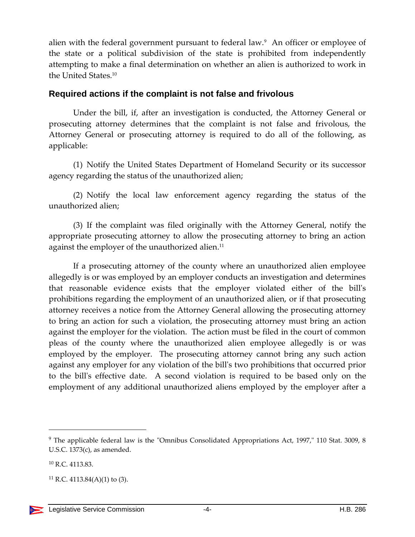alien with the federal government pursuant to federal law.<sup>9</sup> An officer or employee of the state or a political subdivision of the state is prohibited from independently attempting to make a final determination on whether an alien is authorized to work in the United States.<sup>10</sup>

#### <span id="page-3-0"></span>**Required actions if the complaint is not false and frivolous**

Under the bill, if, after an investigation is conducted, the Attorney General or prosecuting attorney determines that the complaint is not false and frivolous, the Attorney General or prosecuting attorney is required to do all of the following, as applicable:

(1) Notify the United States Department of Homeland Security or its successor agency regarding the status of the unauthorized alien;

(2) Notify the local law enforcement agency regarding the status of the unauthorized alien;

(3) If the complaint was filed originally with the Attorney General, notify the appropriate prosecuting attorney to allow the prosecuting attorney to bring an action against the employer of the unauthorized alien. 11

If a prosecuting attorney of the county where an unauthorized alien employee allegedly is or was employed by an employer conducts an investigation and determines that reasonable evidence exists that the employer violated either of the bill's prohibitions regarding the employment of an unauthorized alien, or if that prosecuting attorney receives a notice from the Attorney General allowing the prosecuting attorney to bring an action for such a violation, the prosecuting attorney must bring an action against the employer for the violation. The action must be filed in the court of common pleas of the county where the unauthorized alien employee allegedly is or was employed by the employer. The prosecuting attorney cannot bring any such action against any employer for any violation of the bill's two prohibitions that occurred prior to the bill's effective date. A second violation is required to be based only on the employment of any additional unauthorized aliens employed by the employer after a

<sup>9</sup> The applicable federal law is the "Omnibus Consolidated Appropriations Act, 1997," 110 Stat. 3009, 8 U.S.C. 1373(c), as amended.

<sup>10</sup> R.C. 4113.83.

<sup>&</sup>lt;sup>11</sup> R.C. 4113.84(A)(1) to (3).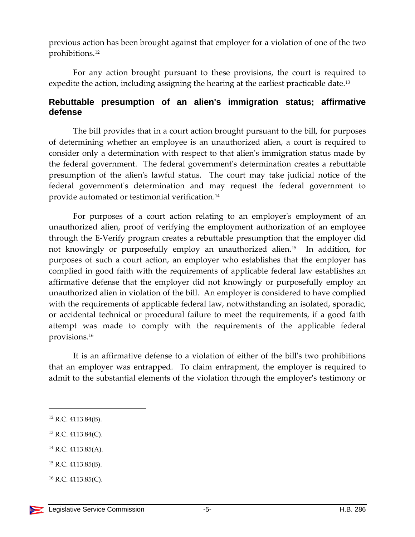previous action has been brought against that employer for a violation of one of the two prohibitions.<sup>12</sup>

For any action brought pursuant to these provisions, the court is required to expedite the action, including assigning the hearing at the earliest practicable date.<sup>13</sup>

#### <span id="page-4-0"></span>**Rebuttable presumption of an alien's immigration status; affirmative defense**

The bill provides that in a court action brought pursuant to the bill, for purposes of determining whether an employee is an unauthorized alien, a court is required to consider only a determination with respect to that alien's immigration status made by the federal government. The federal government's determination creates a rebuttable presumption of the alien's lawful status. The court may take judicial notice of the federal government's determination and may request the federal government to provide automated or testimonial verification. 14

For purposes of a court action relating to an employer's employment of an unauthorized alien, proof of verifying the employment authorization of an employee through the E-Verify program creates a rebuttable presumption that the employer did not knowingly or purposefully employ an unauthorized alien.<sup>15</sup> In addition, for purposes of such a court action, an employer who establishes that the employer has complied in good faith with the requirements of applicable federal law establishes an affirmative defense that the employer did not knowingly or purposefully employ an unauthorized alien in violation of the bill. An employer is considered to have complied with the requirements of applicable federal law, notwithstanding an isolated, sporadic, or accidental technical or procedural failure to meet the requirements, if a good faith attempt was made to comply with the requirements of the applicable federal provisions.<sup>16</sup>

It is an affirmative defense to a violation of either of the bill's two prohibitions that an employer was entrapped. To claim entrapment, the employer is required to admit to the substantial elements of the violation through the employer's testimony or

 $\overline{a}$ 

- <sup>14</sup> R.C. 4113.85(A).
- <sup>15</sup> R.C. 4113.85(B).

 $16$  R.C. 4113.85(C).

<sup>12</sup> R.C. 4113.84(B).

<sup>13</sup> R.C. 4113.84(C).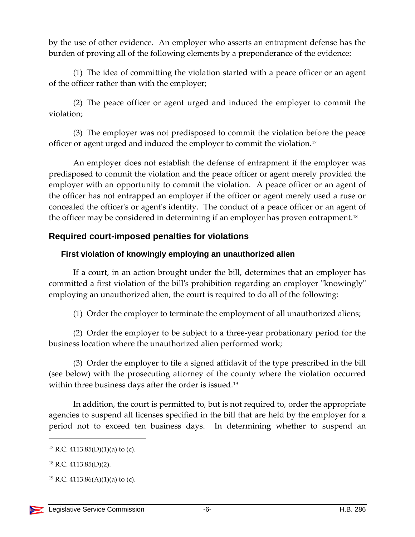by the use of other evidence. An employer who asserts an entrapment defense has the burden of proving all of the following elements by a preponderance of the evidence:

(1) The idea of committing the violation started with a peace officer or an agent of the officer rather than with the employer;

(2) The peace officer or agent urged and induced the employer to commit the violation;

(3) The employer was not predisposed to commit the violation before the peace officer or agent urged and induced the employer to commit the violation.<sup>17</sup>

An employer does not establish the defense of entrapment if the employer was predisposed to commit the violation and the peace officer or agent merely provided the employer with an opportunity to commit the violation. A peace officer or an agent of the officer has not entrapped an employer if the officer or agent merely used a ruse or concealed the officer's or agent's identity. The conduct of a peace officer or an agent of the officer may be considered in determining if an employer has proven entrapment.<sup>18</sup>

#### <span id="page-5-0"></span>**Required court-imposed penalties for violations**

#### <span id="page-5-1"></span>**First violation of knowingly employing an unauthorized alien**

If a court, in an action brought under the bill, determines that an employer has committed a first violation of the bill's prohibition regarding an employer "knowingly" employing an unauthorized alien, the court is required to do all of the following:

(1) Order the employer to terminate the employment of all unauthorized aliens;

(2) Order the employer to be subject to a three-year probationary period for the business location where the unauthorized alien performed work;

(3) Order the employer to file a signed affidavit of the type prescribed in the bill (see below) with the prosecuting attorney of the county where the violation occurred within three business days after the order is issued.<sup>19</sup>

In addition, the court is permitted to, but is not required to, order the appropriate agencies to suspend all licenses specified in the bill that are held by the employer for a period not to exceed ten business days. In determining whether to suspend an

<sup>&</sup>lt;sup>17</sup> R.C. 4113.85(D)(1)(a) to (c).

<sup>18</sup> R.C. 4113.85(D)(2).

<sup>&</sup>lt;sup>19</sup> R.C. 4113.86(A)(1)(a) to (c).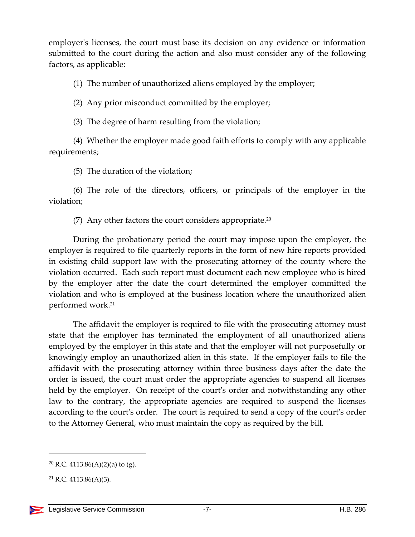employer's licenses, the court must base its decision on any evidence or information submitted to the court during the action and also must consider any of the following factors, as applicable:

(1) The number of unauthorized aliens employed by the employer;

(2) Any prior misconduct committed by the employer;

(3) The degree of harm resulting from the violation;

(4) Whether the employer made good faith efforts to comply with any applicable requirements;

(5) The duration of the violation;

(6) The role of the directors, officers, or principals of the employer in the violation;

(7) Any other factors the court considers appropriate. $20$ 

During the probationary period the court may impose upon the employer, the employer is required to file quarterly reports in the form of new hire reports provided in existing child support law with the prosecuting attorney of the county where the violation occurred. Each such report must document each new employee who is hired by the employer after the date the court determined the employer committed the violation and who is employed at the business location where the unauthorized alien performed work.<sup>21</sup>

The affidavit the employer is required to file with the prosecuting attorney must state that the employer has terminated the employment of all unauthorized aliens employed by the employer in this state and that the employer will not purposefully or knowingly employ an unauthorized alien in this state. If the employer fails to file the affidavit with the prosecuting attorney within three business days after the date the order is issued, the court must order the appropriate agencies to suspend all licenses held by the employer. On receipt of the court's order and notwithstanding any other law to the contrary, the appropriate agencies are required to suspend the licenses according to the court's order. The court is required to send a copy of the court's order to the Attorney General, who must maintain the copy as required by the bill.

<sup>&</sup>lt;sup>20</sup> R.C. 4113.86(A)(2)(a) to (g).

 $21$  R.C. 4113.86(A)(3).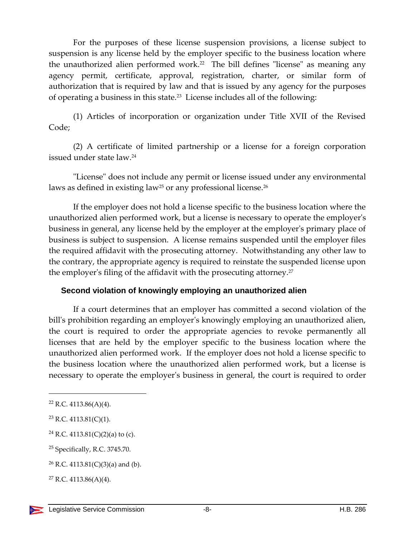For the purposes of these license suspension provisions, a license subject to suspension is any license held by the employer specific to the business location where the unauthorized alien performed work.<sup>22</sup> The bill defines "license" as meaning any agency permit, certificate, approval, registration, charter, or similar form of authorization that is required by law and that is issued by any agency for the purposes of operating a business in this state.<sup>23</sup> License includes all of the following:

(1) Articles of incorporation or organization under Title XVII of the Revised Code;

(2) A certificate of limited partnership or a license for a foreign corporation issued under state law.<sup>24</sup>

"License" does not include any permit or license issued under any environmental laws as defined in existing law<sup>25</sup> or any professional license.<sup>26</sup>

If the employer does not hold a license specific to the business location where the unauthorized alien performed work, but a license is necessary to operate the employer's business in general, any license held by the employer at the employer's primary place of business is subject to suspension. A license remains suspended until the employer files the required affidavit with the prosecuting attorney. Notwithstanding any other law to the contrary, the appropriate agency is required to reinstate the suspended license upon the employer's filing of the affidavit with the prosecuting attorney.<sup>27</sup>

#### <span id="page-7-0"></span>**Second violation of knowingly employing an unauthorized alien**

If a court determines that an employer has committed a second violation of the bill's prohibition regarding an employer's knowingly employing an unauthorized alien, the court is required to order the appropriate agencies to revoke permanently all licenses that are held by the employer specific to the business location where the unauthorized alien performed work. If the employer does not hold a license specific to the business location where the unauthorized alien performed work, but a license is necessary to operate the employer's business in general, the court is required to order

 $22$  R.C. 4113.86(A)(4).

 $23$  R.C. 4113.81(C)(1).

<sup>&</sup>lt;sup>24</sup> R.C. 4113.81(C)(2)(a) to (c).

<sup>25</sup> Specifically, R.C. 3745.70.

<sup>&</sup>lt;sup>26</sup> R.C. 4113.81(C)(3)(a) and (b).

 $27$  R.C. 4113.86(A)(4).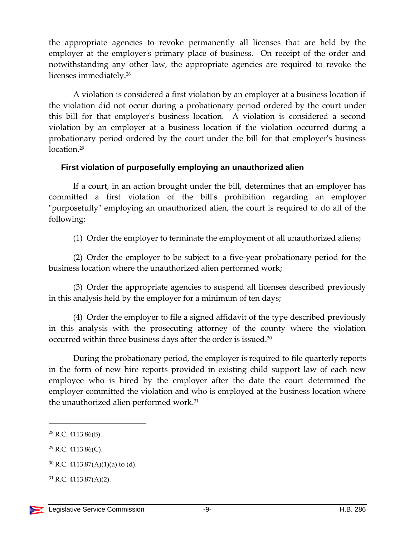the appropriate agencies to revoke permanently all licenses that are held by the employer at the employer's primary place of business. On receipt of the order and notwithstanding any other law, the appropriate agencies are required to revoke the licenses immediately. 28

A violation is considered a first violation by an employer at a business location if the violation did not occur during a probationary period ordered by the court under this bill for that employer's business location. A violation is considered a second violation by an employer at a business location if the violation occurred during a probationary period ordered by the court under the bill for that employer's business location.<sup>29</sup>

#### <span id="page-8-0"></span>**First violation of purposefully employing an unauthorized alien**

If a court, in an action brought under the bill, determines that an employer has committed a first violation of the bill's prohibition regarding an employer "purposefully" employing an unauthorized alien, the court is required to do all of the following:

(1) Order the employer to terminate the employment of all unauthorized aliens;

(2) Order the employer to be subject to a five-year probationary period for the business location where the unauthorized alien performed work;

(3) Order the appropriate agencies to suspend all licenses described previously in this analysis held by the employer for a minimum of ten days;

(4) Order the employer to file a signed affidavit of the type described previously in this analysis with the prosecuting attorney of the county where the violation occurred within three business days after the order is issued.<sup>30</sup>

During the probationary period, the employer is required to file quarterly reports in the form of new hire reports provided in existing child support law of each new employee who is hired by the employer after the date the court determined the employer committed the violation and who is employed at the business location where the unauthorized alien performed work.<sup>31</sup>

<sup>28</sup> R.C. 4113.86(B).

 $29$  R.C. 4113.86(C).

 $30$  R.C. 4113.87(A)(1)(a) to (d).

 $31$  R.C. 4113.87(A)(2).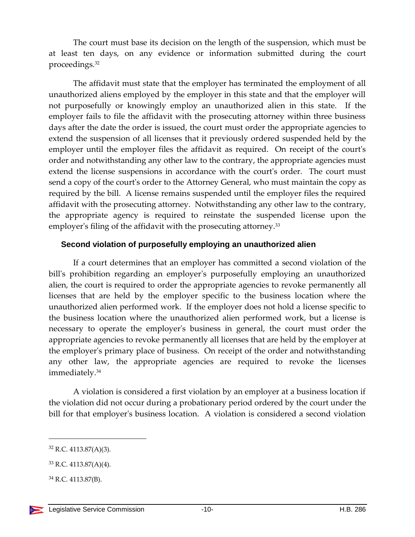The court must base its decision on the length of the suspension, which must be at least ten days, on any evidence or information submitted during the court proceedings.<sup>32</sup>

The affidavit must state that the employer has terminated the employment of all unauthorized aliens employed by the employer in this state and that the employer will not purposefully or knowingly employ an unauthorized alien in this state. If the employer fails to file the affidavit with the prosecuting attorney within three business days after the date the order is issued, the court must order the appropriate agencies to extend the suspension of all licenses that it previously ordered suspended held by the employer until the employer files the affidavit as required. On receipt of the court's order and notwithstanding any other law to the contrary, the appropriate agencies must extend the license suspensions in accordance with the court's order. The court must send a copy of the court's order to the Attorney General, who must maintain the copy as required by the bill. A license remains suspended until the employer files the required affidavit with the prosecuting attorney. Notwithstanding any other law to the contrary, the appropriate agency is required to reinstate the suspended license upon the employer's filing of the affidavit with the prosecuting attorney.<sup>33</sup>

#### <span id="page-9-0"></span>**Second violation of purposefully employing an unauthorized alien**

If a court determines that an employer has committed a second violation of the bill's prohibition regarding an employer's purposefully employing an unauthorized alien, the court is required to order the appropriate agencies to revoke permanently all licenses that are held by the employer specific to the business location where the unauthorized alien performed work. If the employer does not hold a license specific to the business location where the unauthorized alien performed work, but a license is necessary to operate the employer's business in general, the court must order the appropriate agencies to revoke permanently all licenses that are held by the employer at the employer's primary place of business. On receipt of the order and notwithstanding any other law, the appropriate agencies are required to revoke the licenses immediately. 34

A violation is considered a first violation by an employer at a business location if the violation did not occur during a probationary period ordered by the court under the bill for that employer's business location. A violation is considered a second violation

<sup>32</sup> R.C. 4113.87(A)(3).

<sup>33</sup> R.C. 4113.87(A)(4).

<sup>34</sup> R.C. 4113.87(B).